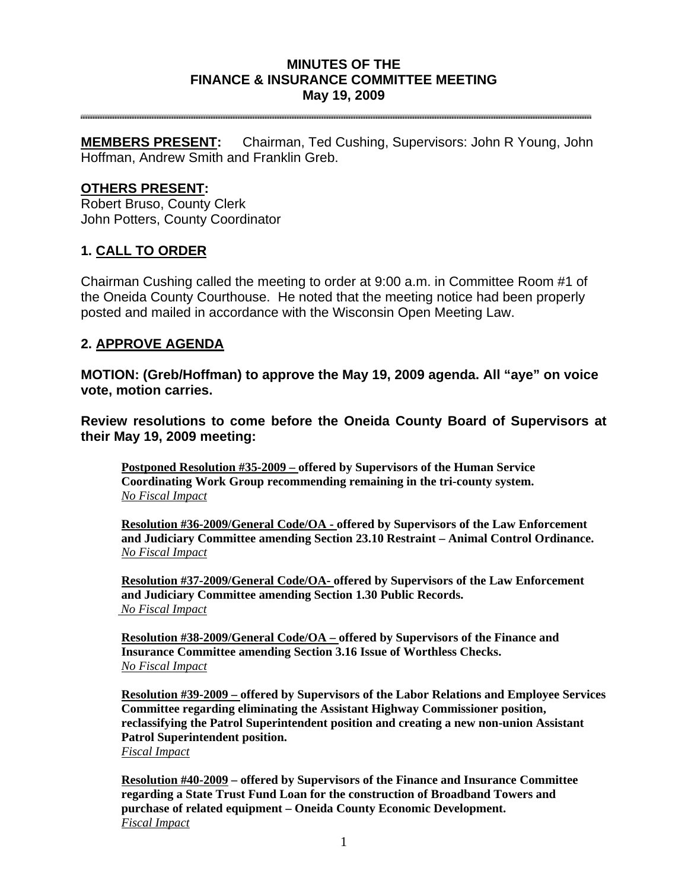## **MINUTES OF THE FINANCE & INSURANCE COMMITTEE MEETING May 19, 2009**

**MEMBERS PRESENT:** Chairman, Ted Cushing, Supervisors: John R Young, John Hoffman, Andrew Smith and Franklin Greb.

## **OTHERS PRESENT:**

Robert Bruso, County Clerk John Potters, County Coordinator

## **1. CALL TO ORDER**

Chairman Cushing called the meeting to order at 9:00 a.m. in Committee Room #1 of the Oneida County Courthouse. He noted that the meeting notice had been properly posted and mailed in accordance with the Wisconsin Open Meeting Law.

## **2. APPROVE AGENDA**

**MOTION: (Greb/Hoffman) to approve the May 19, 2009 agenda. All "aye" on voice vote, motion carries.** 

**Review resolutions to come before the Oneida County Board of Supervisors at their May 19, 2009 meeting:** 

**Postponed Resolution #35-2009 – offered by Supervisors of the Human Service Coordinating Work Group recommending remaining in the tri-county system.**  *No Fiscal Impact*

**Resolution #36-2009/General Code/OA - offered by Supervisors of the Law Enforcement and Judiciary Committee amending Section 23.10 Restraint – Animal Control Ordinance.**  *No Fiscal Impact*

**Resolution #37-2009/General Code/OA- offered by Supervisors of the Law Enforcement and Judiciary Committee amending Section 1.30 Public Records.**   *No Fiscal Impact*

**Resolution #38-2009/General Code/OA – offered by Supervisors of the Finance and Insurance Committee amending Section 3.16 Issue of Worthless Checks.**  *No Fiscal Impact*

**Resolution #39-2009 – offered by Supervisors of the Labor Relations and Employee Services Committee regarding eliminating the Assistant Highway Commissioner position, reclassifying the Patrol Superintendent position and creating a new non-union Assistant Patrol Superintendent position.**  *Fiscal Impact*

**Resolution #40-2009 – offered by Supervisors of the Finance and Insurance Committee regarding a State Trust Fund Loan for the construction of Broadband Towers and purchase of related equipment – Oneida County Economic Development.**  *Fiscal Impact*